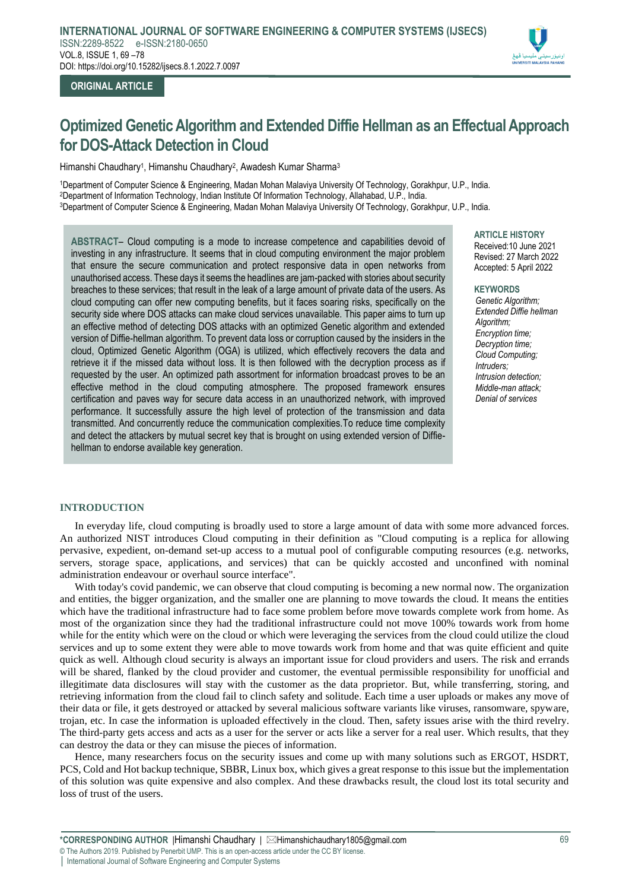

# **ORIGINAL ARTICLE**

# **Optimized Genetic Algorithm and Extended Diffie Hellman as an Effectual Approach for DOS-Attack Detection in Cloud**

Himanshi Chaudhary<sup>1</sup>, Himanshu Chaudhary<sup>2</sup>, Awadesh Kumar Sharma<sup>3</sup>

<sup>1</sup>Department of Computer Science & Engineering, Madan Mohan Malaviya University Of Technology, Gorakhpur, U.P., India. <sup>2</sup>Department of Information Technology, Indian Institute Of Information Technology, Allahabad, U.P., India. <sup>3</sup>Department of Computer Science & Engineering, Madan Mohan Malaviya University Of Technology, Gorakhpur, U.P., India.

**ABSTRACT**– Cloud computing is a mode to increase competence and capabilities devoid of investing in any infrastructure. It seems that in cloud computing environment the major problem that ensure the secure communication and protect responsive data in open networks from unauthorised access. These days it seems the headlines are jam-packed with stories about security breaches to these services; that result in the leak of a large amount of private data of the users. As cloud computing can offer new computing benefits, but it faces soaring risks, specifically on the security side where DOS attacks can make cloud services unavailable. This paper aims to turn up an effective method of detecting DOS attacks with an optimized Genetic algorithm and extended version of Diffie-hellman algorithm. To prevent data loss or corruption caused by the insiders in the cloud, Optimized Genetic Algorithm (OGA) is utilized, which effectively recovers the data and retrieve it if the missed data without loss. It is then followed with the decryption process as if requested by the user. An optimized path assortment for information broadcast proves to be an effective method in the cloud computing atmosphere. The proposed framework ensures certification and paves way for secure data access in an unauthorized network, with improved performance. It successfully assure the high level of protection of the transmission and data transmitted. And concurrently reduce the communication complexities.To reduce time complexity and detect the attackers by mutual secret key that is brought on using extended version of Diffiehellman to endorse available key generation.

**ARTICLE HISTORY** Received:10 June 2021 Revised: 27 March 2022 Accepted: 5 April 2022

#### **KEYWORDS**

*Genetic Algorithm; Extended Diffie hellman Algorithm; Encryption time; Decryption time; Cloud Computing; Intruders; Intrusion detection; Middle-man attack; Denial of services*

# **INTRODUCTION**

In everyday life, cloud computing is broadly used to store a large amount of data with some more advanced forces. An authorized NIST introduces Cloud computing in their definition as "Cloud computing is a replica for allowing pervasive, expedient, on-demand set-up access to a mutual pool of configurable computing resources (e.g. networks, servers, storage space, applications, and services) that can be quickly accosted and unconfined with nominal administration endeavour or overhaul source interface".

With today's covid pandemic, we can observe that cloud computing is becoming a new normal now. The organization and entities, the bigger organization, and the smaller one are planning to move towards the cloud. It means the entities which have the traditional infrastructure had to face some problem before move towards complete work from home. As most of the organization since they had the traditional infrastructure could not move 100% towards work from home while for the entity which were on the cloud or which were leveraging the services from the cloud could utilize the cloud services and up to some extent they were able to move towards work from home and that was quite efficient and quite quick as well. Although cloud security is always an important issue for cloud providers and users. The risk and errands will be shared, flanked by the cloud provider and customer, the eventual permissible responsibility for unofficial and illegitimate data disclosures will stay with the customer as the data proprietor. But, while transferring, storing, and retrieving information from the cloud fail to clinch safety and solitude. Each time a user uploads or makes any move of their data or file, it gets destroyed or attacked by several malicious software variants like viruses, ransomware, spyware, trojan, etc. In case the information is uploaded effectively in the cloud. Then, safety issues arise with the third revelry. The third-party gets access and acts as a user for the server or acts like a server for a real user. Which results, that they can destroy the data or they can misuse the pieces of information.

Hence, many researchers focus on the security issues and come up with many solutions such as ERGOT, HSDRT, PCS, Cold and Hot backup technique, SBBR, Linux box, which gives a great response to this issue but the implementation of this solution was quite expensive and also complex. And these drawbacks result, the cloud lost its total security and loss of trust of the users.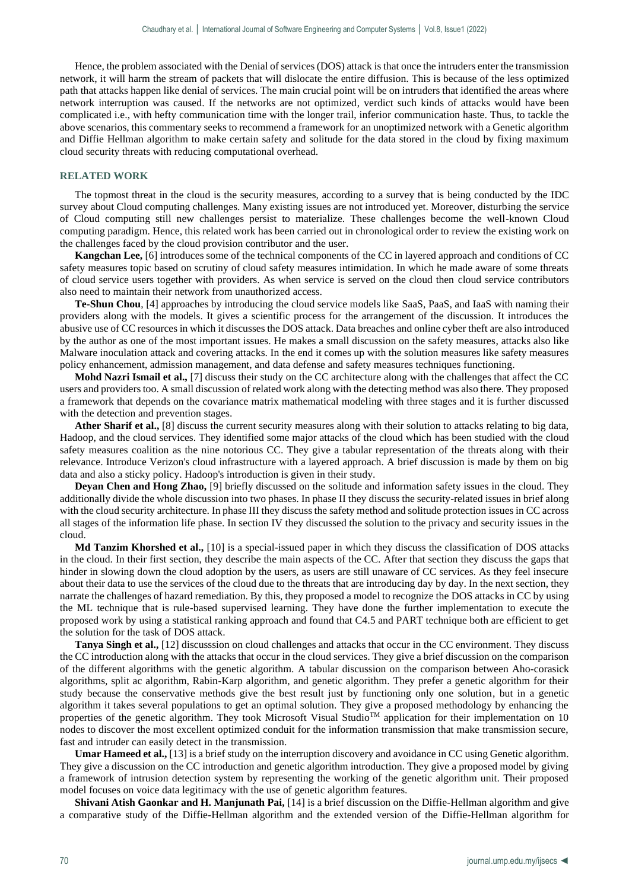Hence, the problem associated with the Denial of services (DOS) attack isthat once the intruders enter the transmission network, it will harm the stream of packets that will dislocate the entire diffusion. This is because of the less optimized path that attacks happen like denial of services. The main crucial point will be on intruders that identified the areas where network interruption was caused. If the networks are not optimized, verdict such kinds of attacks would have been complicated i.e., with hefty communication time with the longer trail, inferior communication haste. Thus, to tackle the above scenarios, this commentary seeks to recommend a framework for an unoptimized network with a Genetic algorithm and Diffie Hellman algorithm to make certain safety and solitude for the data stored in the cloud by fixing maximum cloud security threats with reducing computational overhead.

### **RELATED WORK**

The topmost threat in the cloud is the security measures, according to a survey that is being conducted by the IDC survey about Cloud computing challenges. Many existing issues are not introduced yet. Moreover, disturbing the service of Cloud computing still new challenges persist to materialize. These challenges become the well-known Cloud computing paradigm. Hence, this related work has been carried out in chronological order to review the existing work on the challenges faced by the cloud provision contributor and the user.

**Kangchan Lee,** [6] introduces some of the technical components of the CC in layered approach and conditions of CC safety measures topic based on scrutiny of cloud safety measures intimidation. In which he made aware of some threats of cloud service users together with providers. As when service is served on the cloud then cloud service contributors also need to maintain their network from unauthorized access.

**Te-Shun Chou**, [4] approaches by introducing the cloud service models like SaaS, PaaS, and IaaS with naming their providers along with the models. It gives a scientific process for the arrangement of the discussion. It introduces the abusive use of CC resources in which it discusses the DOS attack. Data breaches and online cyber theft are also introduced by the author as one of the most important issues. He makes a small discussion on the safety measures, attacks also like Malware inoculation attack and covering attacks. In the end it comes up with the solution measures like safety measures policy enhancement, admission management, and data defense and safety measures techniques functioning.

**Mohd Nazri Ismail et al.,** [7] discuss their study on the CC architecture along with the challenges that affect the CC users and providers too. A small discussion of related work along with the detecting method was also there. They proposed a framework that depends on the covariance matrix mathematical modeling with three stages and it is further discussed with the detection and prevention stages.

**Ather Sharif et al.,** [8] discuss the current security measures along with their solution to attacks relating to big data, Hadoop, and the cloud services. They identified some major attacks of the cloud which has been studied with the cloud safety measures coalition as the nine notorious CC. They give a tabular representation of the threats along with their relevance. Introduce Verizon's cloud infrastructure with a layered approach. A brief discussion is made by them on big data and also a sticky policy. Hadoop's introduction is given in their study.

**Deyan Chen and Hong Zhao,** [9] briefly discussed on the solitude and information safety issues in the cloud. They additionally divide the whole discussion into two phases. In phase II they discuss the security-related issues in brief along with the cloud security architecture. In phase III they discuss the safety method and solitude protection issues in CC across all stages of the information life phase. In section IV they discussed the solution to the privacy and security issues in the cloud.

**Md Tanzim Khorshed et al.,** [10] is a special-issued paper in which they discuss the classification of DOS attacks in the cloud. In their first section, they describe the main aspects of the CC. After that section they discuss the gaps that hinder in slowing down the cloud adoption by the users, as users are still unaware of CC services. As they feel insecure about their data to use the services of the cloud due to the threats that are introducing day by day. In the next section, they narrate the challenges of hazard remediation. By this, they proposed a model to recognize the DOS attacks in CC by using the ML technique that is rule-based supervised learning. They have done the further implementation to execute the proposed work by using a statistical ranking approach and found that C4.5 and PART technique both are efficient to get the solution for the task of DOS attack.

**Tanya Singh et al.,** [12] discusssion on cloud challenges and attacks that occur in the CC environment. They discuss the CC introduction along with the attacks that occur in the cloud services. They give a brief discussion on the comparison of the different algorithms with the genetic algorithm. A tabular discussion on the comparison between Aho-corasick algorithms, split ac algorithm, Rabin-Karp algorithm, and genetic algorithm. They prefer a genetic algorithm for their study because the conservative methods give the best result just by functioning only one solution, but in a genetic algorithm it takes several populations to get an optimal solution. They give a proposed methodology by enhancing the properties of the genetic algorithm. They took Microsoft Visual Studio<sup>TM</sup> application for their implementation on 10 nodes to discover the most excellent optimized conduit for the information transmission that make transmission secure, fast and intruder can easily detect in the transmission.

**Umar Hameed et al.,** [13] is a brief study on the interruption discovery and avoidance in CC using Genetic algorithm. They give a discussion on the CC introduction and genetic algorithm introduction. They give a proposed model by giving a framework of intrusion detection system by representing the working of the genetic algorithm unit. Their proposed model focuses on voice data legitimacy with the use of genetic algorithm features.

**Shivani Atish Gaonkar and H. Manjunath Pai,** [14] is a brief discussion on the Diffie-Hellman algorithm and give a comparative study of the Diffie-Hellman algorithm and the extended version of the Diffie-Hellman algorithm for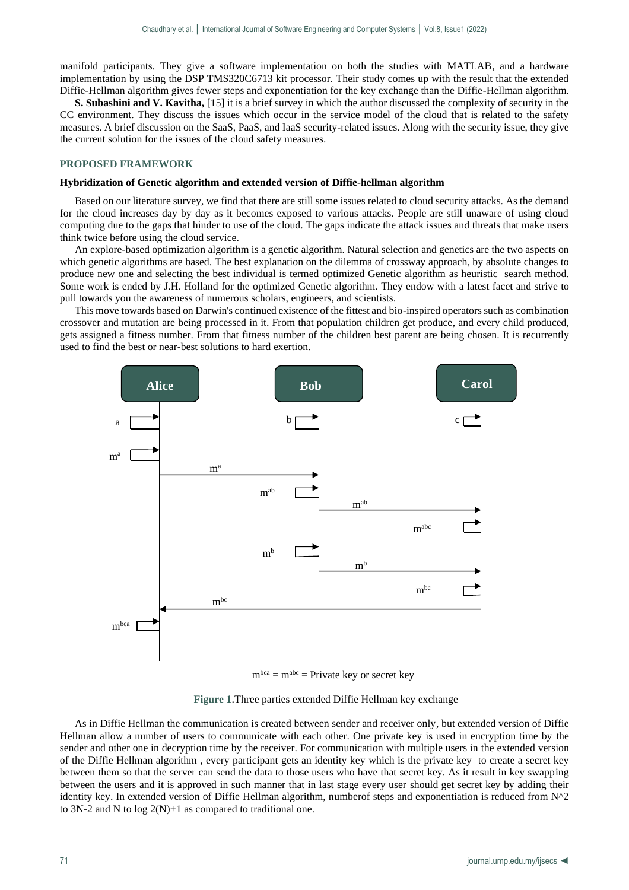manifold participants. They give a software implementation on both the studies with MATLAB, and a hardware implementation by using the DSP TMS320C6713 kit processor. Their study comes up with the result that the extended Diffie-Hellman algorithm gives fewer steps and exponentiation for the key exchange than the Diffie-Hellman algorithm.

**S. Subashini and V. Kavitha,** [15] it is a brief survey in which the author discussed the complexity of security in the CC environment. They discuss the issues which occur in the service model of the cloud that is related to the safety measures. A brief discussion on the SaaS, PaaS, and IaaS security-related issues. Along with the security issue, they give the current solution for the issues of the cloud safety measures.

# **PROPOSED FRAMEWORK**

#### **Hybridization of Genetic algorithm and extended version of Diffie-hellman algorithm**

Based on our literature survey, we find that there are still some issues related to cloud security attacks. As the demand for the cloud increases day by day as it becomes exposed to various attacks. People are still unaware of using cloud computing due to the gaps that hinder to use of the cloud. The gaps indicate the attack issues and threats that make users think twice before using the cloud service.

An explore-based optimization algorithm is a genetic algorithm. Natural selection and genetics are the two aspects on which genetic algorithms are based. The best explanation on the dilemma of crossway approach, by absolute changes to produce new one and selecting the best individual is termed optimized Genetic algorithm as heuristic search method. Some work is ended by J.H. Holland for the optimized Genetic algorithm. They endow with a latest facet and strive to pull towards you the awareness of numerous scholars, engineers, and scientists.

This move towards based on Darwin's continued existence of the fittest and bio-inspired operators such as combination crossover and mutation are being processed in it. From that population children get produce, and every child produced, gets assigned a fitness number. From that fitness number of the children best parent are being chosen. It is recurrently used to find the best or near-best solutions to hard exertion.



 $m<sup>bca</sup> = m<sup>abc</sup> = Private key or secret key$ 

 **Figure 1**.Three parties extended Diffie Hellman key exchange

As in Diffie Hellman the communication is created between sender and receiver only, but extended version of Diffie Hellman allow a number of users to communicate with each other. One private key is used in encryption time by the sender and other one in decryption time by the receiver. For communication with multiple users in the extended version of the Diffie Hellman algorithm , every participant gets an identity key which is the private key to create a secret key between them so that the server can send the data to those users who have that secret key. As it result in key swapping between the users and it is approved in such manner that in last stage every user should get secret key by adding their identity key. In extended version of Diffie Hellman algorithm, numberof steps and exponentiation is reduced from N^2 to 3N-2 and N to  $log 2(N)+1$  as compared to traditional one.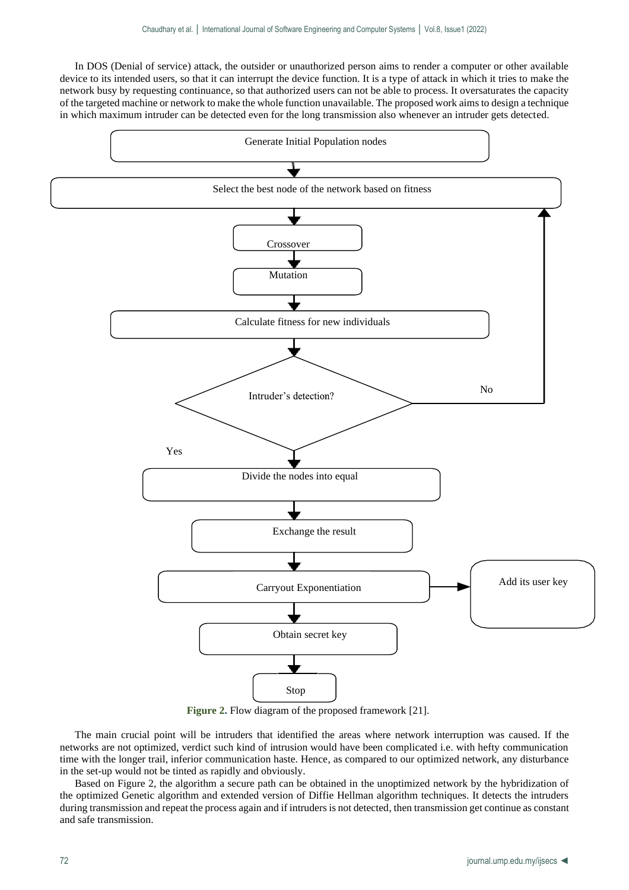In DOS (Denial of service) attack, the outsider or unauthorized person aims to render a computer or other available device to its intended users, so that it can interrupt the device function. It is a type of attack in which it tries to make the network busy by requesting continuance, so that authorized users can not be able to process. It oversaturates the capacity of the targeted machine or network to make the whole function unavailable. The proposed work aims to design a technique in which maximum intruder can be detected even for the long transmission also whenever an intruder gets detected.



**Figure 2.** Flow diagram of the proposed framework [21].

The main crucial point will be intruders that identified the areas where network interruption was caused. If the networks are not optimized, verdict such kind of intrusion would have been complicated i.e. with hefty communication time with the longer trail, inferior communication haste. Hence, as compared to our optimized network, any disturbance in the set-up would not be tinted as rapidly and obviously.

Based on Figure 2, the algorithm a secure path can be obtained in the unoptimized network by the hybridization of the optimized Genetic algorithm and extended version of Diffie Hellman algorithm techniques. It detects the intruders during transmission and repeat the process again and if intruders is not detected, then transmission get continue as constant and safe transmission.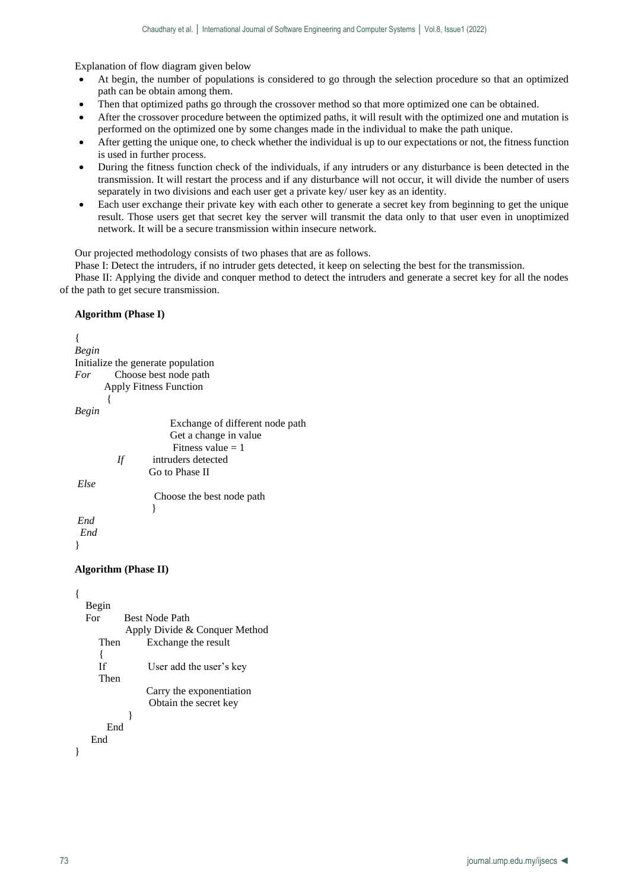Explanation of flow diagram given below

- At begin, the number of populations is considered to go through the selection procedure so that an optimized path can be obtain among them.
- Then that optimized paths go through the crossover method so that more optimized one can be obtained.
- After the crossover procedure between the optimized paths, it will result with the optimized one and mutation is performed on the optimized one by some changes made in the individual to make the path unique.
- After getting the unique one, to check whether the individual is up to our expectations or not, the fitness function is used in further process.
- During the fitness function check of the individuals, if any intruders or any disturbance is been detected in the transmission. It will restart the process and if any disturbance will not occur, it will divide the number of users separately in two divisions and each user get a private key/ user key as an identity.
- Each user exchange their private key with each other to generate a secret key from beginning to get the unique result. Those users get that secret key the server will transmit the data only to that user even in unoptimized network. It will be a secure transmission within insecure network.

Our projected methodology consists of two phases that are as follows.

Phase I: Detect the intruders, if no intruder gets detected, it keep on selecting the best for the transmission.

Phase II: Applying the divide and conquer method to detect the intruders and generate a secret key for all the nodes of the path to get secure transmission.

# **Algorithm (Phase I)**

```
{
Begin 
Initialize the generate population
For Choose best node path
       Apply Fitness Function
\{Begin 
                     Exchange of different node path
                     Get a change in value
                    Fitness value = 1If intruders detected
                 Go to Phase II
Else 
                 Choose the best node path
 }
End
  End
}
```
# **Algorithm (Phase II)**

```
{
   Begin 
  For Best Node Path
             Apply Divide & Conquer Method 
      Then Exchange the result
\left\{\begin{array}{ccc} \end{array}\right\} If User add the user's key 
      Then
                  Carry the exponentiation
                   Obtain the secret key
 }
        End
    End
}
```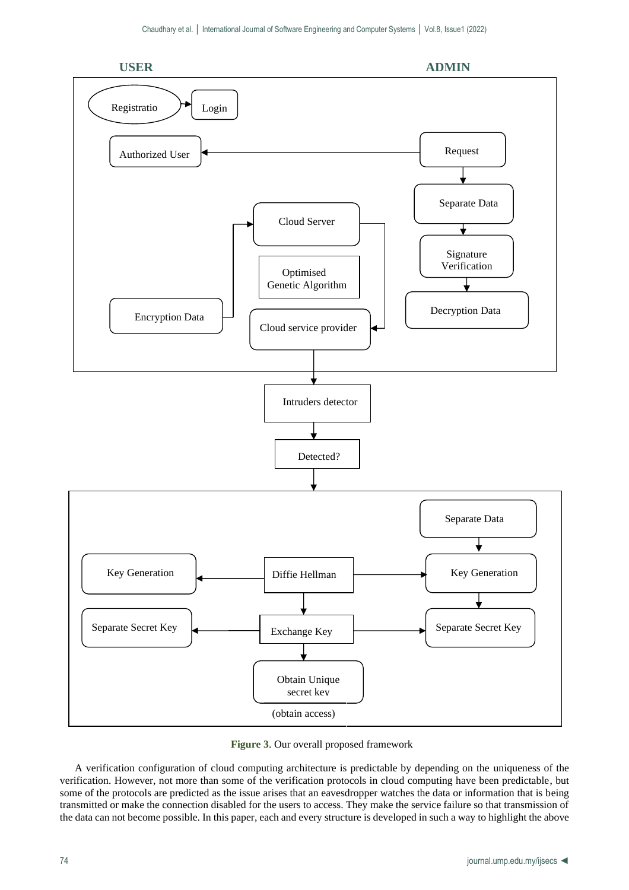

**Figure 3**. Our overall proposed framework

A verification configuration of cloud computing architecture is predictable by depending on the uniqueness of the verification. However, not more than some of the verification protocols in cloud computing have been predictable, but some of the protocols are predicted as the issue arises that an eavesdropper watches the data or information that is being transmitted or make the connection disabled for the users to access. They make the service failure so that transmission of the data can not become possible. In this paper, each and every structure is developed in such a way to highlight the above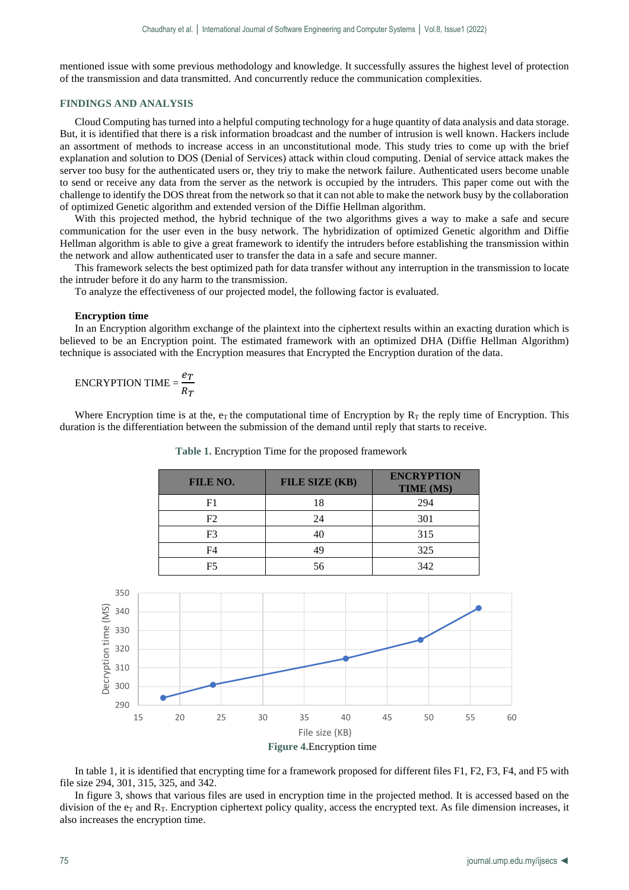mentioned issue with some previous methodology and knowledge. It successfully assures the highest level of protection of the transmission and data transmitted. And concurrently reduce the communication complexities.

# **FINDINGS AND ANALYSIS**

Cloud Computing has turned into a helpful computing technology for a huge quantity of data analysis and data storage. But, it is identified that there is a risk information broadcast and the number of intrusion is well known. Hackers include an assortment of methods to increase access in an unconstitutional mode. This study tries to come up with the brief explanation and solution to DOS (Denial of Services) attack within cloud computing. Denial of service attack makes the server too busy for the authenticated users or, they triy to make the network failure. Authenticated users become unable to send or receive any data from the server as the network is occupied by the intruders. This paper come out with the challenge to identify the DOS threat from the network so that it can not able to make the network busy by the collaboration of optimized Genetic algorithm and extended version of the Diffie Hellman algorithm.

With this projected method, the hybrid technique of the two algorithms gives a way to make a safe and secure communication for the user even in the busy network. The hybridization of optimized Genetic algorithm and Diffie Hellman algorithm is able to give a great framework to identify the intruders before establishing the transmission within the network and allow authenticated user to transfer the data in a safe and secure manner.

This framework selects the best optimized path for data transfer without any interruption in the transmission to locate the intruder before it do any harm to the transmission.

To analyze the effectiveness of our projected model, the following factor is evaluated.

# **Encryption time**

In an Encryption algorithm exchange of the plaintext into the ciphertext results within an exacting duration which is believed to be an Encryption point. The estimated framework with an optimized DHA (Diffie Hellman Algorithm) technique is associated with the Encryption measures that Encrypted the Encryption duration of the data.

$$
ENCRYPITION TIME = \frac{e_T}{R_T}
$$

Where Encryption time is at the,  $e_T$  the computational time of Encryption by  $R_T$  the reply time of Encryption. This duration is the differentiation between the submission of the demand until reply that starts to receive.

| FILE NO. | FILE SIZE (KB) | <b>ENCRYPTION</b><br><b>TIME (MS)</b> |
|----------|----------------|---------------------------------------|
| F1       | 18             | 294                                   |
| F2       | 24             | 301                                   |
| F3       |                | 315                                   |
| F4       | 49             | 325                                   |
| F5       | 56             | 342                                   |

 **Table 1.** Encryption Time for the proposed framework



In table 1, it is identified that encrypting time for a framework proposed for different files F1, F2, F3, F4, and F5 with file size 294, 301, 315, 325, and 342.

In figure 3, shows that various files are used in encryption time in the projected method. It is accessed based on the division of the  $e_T$  and  $R_T$ . Encryption ciphertext policy quality, access the encrypted text. As file dimension increases, it also increases the encryption time.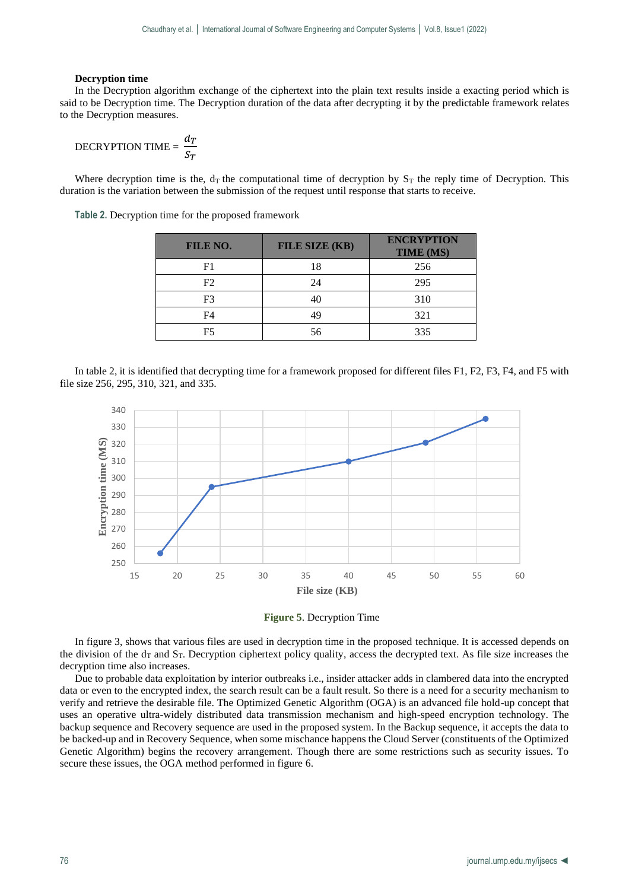# **Decryption time**

In the Decryption algorithm exchange of the ciphertext into the plain text results inside a exacting period which is said to be Decryption time. The Decryption duration of the data after decrypting it by the predictable framework relates to the Decryption measures.

$$
DECRYPTION TIME = \frac{d_T}{S_T}
$$

Where decryption time is the,  $d_T$  the computational time of decryption by  $S_T$  the reply time of Decryption. This duration is the variation between the submission of the request until response that starts to receive.

**Table 2.** Decryption time for the proposed framework

| FILE NO.       | FILE SIZE (KB) | <b>ENCRYPTION</b><br><b>TIME (MS)</b> |
|----------------|----------------|---------------------------------------|
| F1             |                | 256                                   |
| F <sub>2</sub> | 24             | 295                                   |
| F <sub>3</sub> |                | 310                                   |
| F4             |                | 321                                   |
| F5             |                | 335                                   |





**Figure 5**. Decryption Time

In figure 3, shows that various files are used in decryption time in the proposed technique. It is accessed depends on the division of the  $d<sub>T</sub>$  and  $S<sub>T</sub>$ . Decryption ciphertext policy quality, access the decrypted text. As file size increases the decryption time also increases.

Due to probable data exploitation by interior outbreaks i.e., insider attacker adds in clambered data into the encrypted data or even to the encrypted index, the search result can be a fault result. So there is a need for a security mechanism to verify and retrieve the desirable file. The Optimized Genetic Algorithm (OGA) is an advanced file hold-up concept that uses an operative ultra-widely distributed data transmission mechanism and high-speed encryption technology. The backup sequence and Recovery sequence are used in the proposed system. In the Backup sequence, it accepts the data to be backed-up and in Recovery Sequence, when some mischance happens the Cloud Server (constituents of the Optimized Genetic Algorithm) begins the recovery arrangement. Though there are some restrictions such as security issues. To secure these issues, the OGA method performed in figure 6.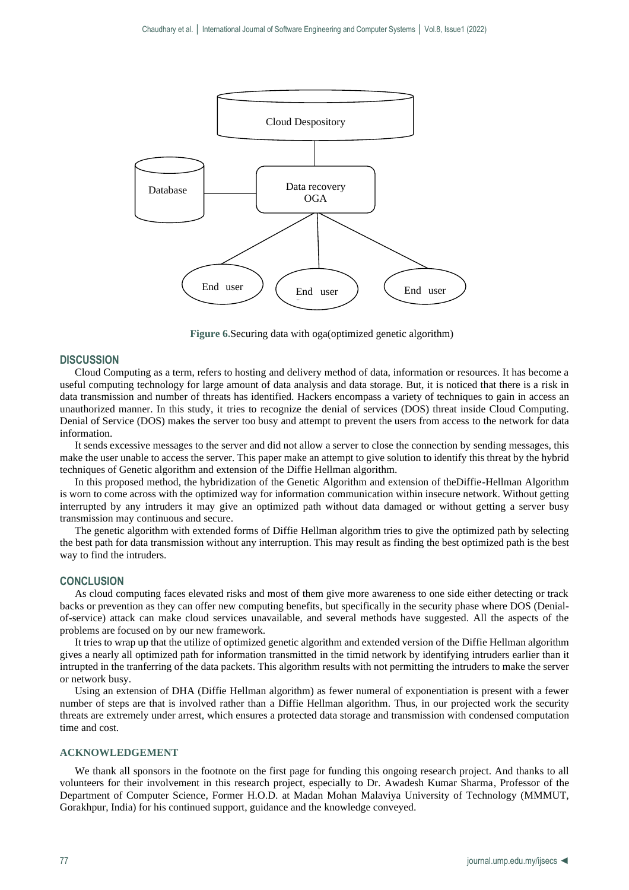

**Figure 6.**Securing data with oga(optimized genetic algorithm)

## **DISCUSSION**

Cloud Computing as a term, refers to hosting and delivery method of data, information or resources. It has become a useful computing technology for large amount of data analysis and data storage. But, it is noticed that there is a risk in data transmission and number of threats has identified. Hackers encompass a variety of techniques to gain in access an unauthorized manner. In this study, it tries to recognize the denial of services (DOS) threat inside Cloud Computing. Denial of Service (DOS) makes the server too busy and attempt to prevent the users from access to the network for data information.

It sends excessive messages to the server and did not allow a server to close the connection by sending messages, this make the user unable to access the server. This paper make an attempt to give solution to identify this threat by the hybrid techniques of Genetic algorithm and extension of the Diffie Hellman algorithm.

In this proposed method, the hybridization of the Genetic Algorithm and extension of theDiffie-Hellman Algorithm is worn to come across with the optimized way for information communication within insecure network. Without getting interrupted by any intruders it may give an optimized path without data damaged or without getting a server busy transmission may continuous and secure.

The genetic algorithm with extended forms of Diffie Hellman algorithm tries to give the optimized path by selecting the best path for data transmission without any interruption. This may result as finding the best optimized path is the best way to find the intruders.

# **CONCLUSION**

As cloud computing faces elevated risks and most of them give more awareness to one side either detecting or track backs or prevention as they can offer new computing benefits, but specifically in the security phase where DOS (Denialof-service) attack can make cloud services unavailable, and several methods have suggested. All the aspects of the problems are focused on by our new framework.

It tries to wrap up that the utilize of optimized genetic algorithm and extended version of the Diffie Hellman algorithm gives a nearly all optimized path for information transmitted in the timid network by identifying intruders earlier than it intrupted in the tranferring of the data packets. This algorithm results with not permitting the intruders to make the server or network busy.

Using an extension of DHA (Diffie Hellman algorithm) as fewer numeral of exponentiation is present with a fewer number of steps are that is involved rather than a Diffie Hellman algorithm. Thus, in our projected work the security threats are extremely under arrest, which ensures a protected data storage and transmission with condensed computation time and cost.

#### **ACKNOWLEDGEMENT**

We thank all sponsors in the footnote on the first page for funding this ongoing research project. And thanks to all volunteers for their involvement in this research project, especially to Dr. Awadesh Kumar Sharma, Professor of the Department of Computer Science, Former H.O.D. at Madan Mohan Malaviya University of Technology (MMMUT, Gorakhpur, India) for his continued support, guidance and the knowledge conveyed.